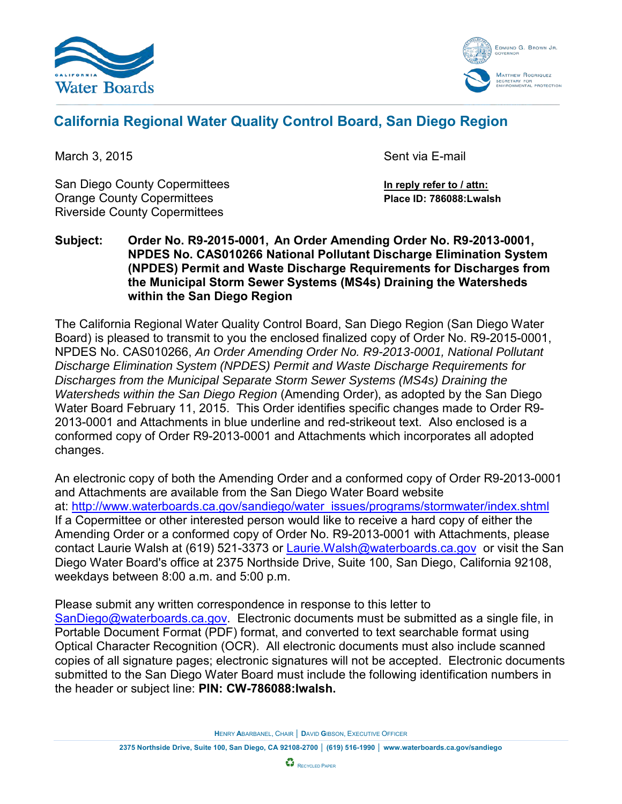



# **California Regional Water Quality Control Board, San Diego Region**

San Diego County Copermittees **In reply refer to / attn:** Orange County Copermittees **Place ID: 786088:Lwalsh** Riverside County Copermittees

March 3, 2015 Sent via E-mail

**Subject: Order No. R9-2015-0001, An Order Amending Order No. R9-2013-0001, NPDES No. CAS010266 National Pollutant Discharge Elimination System (NPDES) Permit and Waste Discharge Requirements for Discharges from the Municipal Storm Sewer Systems (MS4s) Draining the Watersheds within the San Diego Region**

The California Regional Water Quality Control Board, San Diego Region (San Diego Water Board) is pleased to transmit to you the enclosed finalized copy of Order No. R9-2015-0001, NPDES No. CAS010266, *An Order Amending Order No. R9-2013-0001, National Pollutant Discharge Elimination System (NPDES) Permit and Waste Discharge Requirements for Discharges from the Municipal Separate Storm Sewer Systems (MS4s) Draining the Watersheds within the San Diego Region* (Amending Order), as adopted by the San Diego Water Board February 11, 2015. This Order identifies specific changes made to Order R9- 2013-0001 and Attachments in blue underline and red-strikeout text. Also enclosed is a conformed copy of Order R9-2013-0001 and Attachments which incorporates all adopted changes.

An electronic copy of both the Amending Order and a conformed copy of Order R9-2013-0001 and Attachments are available from the San Diego Water Board website at: [http://www.waterboards.ca.gov/sandiego/water\\_issues/programs/stormwater/index.shtml](http://www.waterboards.ca.gov/sandiego/water_issues/programs/stormwater/index.shtml) If a Copermittee or other interested person would like to receive a hard copy of either the Amending Order or a conformed copy of Order No. R9-2013-0001 with Attachments, please contact Laurie Walsh at (619) 521-3373 or [Laurie.Walsh@waterboards.ca.gov](mailto:Laurie.Walsh@waterboards.ca.gov) or visit the San Diego Water Board's office at 2375 Northside Drive, Suite 100, San Diego, California 92108, weekdays between 8:00 a.m. and 5:00 p.m.

Please submit any written correspondence in response to this letter to [SanDiego@waterboards.ca.gov.](mailto:SanDiego@waterboards.ca.gov) Electronic documents must be submitted as a single file, in Portable Document Format (PDF) format, and converted to text searchable format using Optical Character Recognition (OCR). All electronic documents must also include scanned copies of all signature pages; electronic signatures will not be accepted. Electronic documents submitted to the San Diego Water Board must include the following identification numbers in the header or subject line: **PIN: CW-786088:lwalsh.**

**H**ENRY **A**BARBANEL, CHAIR │ **D**AVID **G**IBSON, EXECUTIVE OFFICER

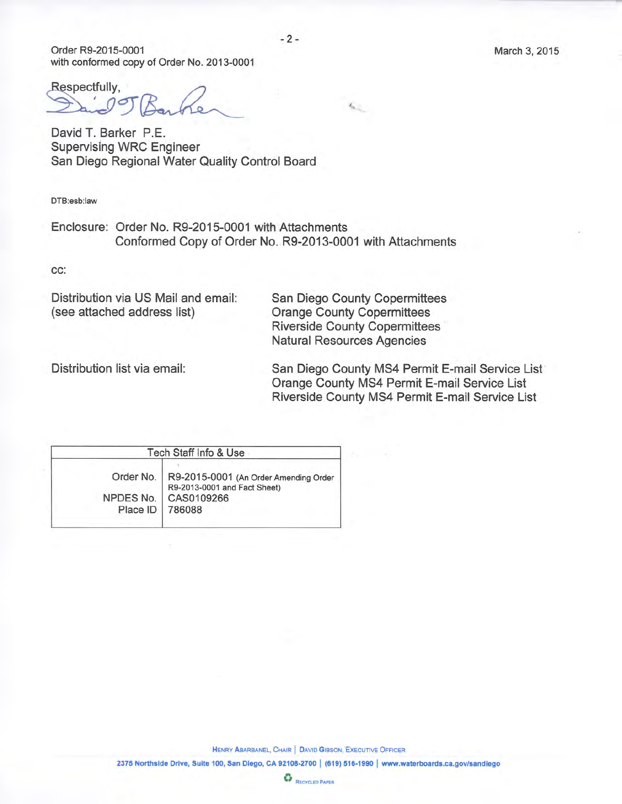Order R9-2015-0001 with conformed copy of Order No. 2013-0001

Respectfully,

David T. Barker P.E. **Supervising WRC Engineer** San Diego Regional Water Quality Control Board

DTB:esb:law

Enclosure: Order No. R9-2015-0001 with Attachments Conformed Copy of Order No. R9-2013-0001 with Attachments

CC:

Distribution via US Mail and email: (see attached address list)

**San Diego County Copermittees Orange County Copermittees Riverside County Copermittees Natural Resources Agencies** 

 $\mathcal{L}_{\mathcal{L}_{\mathcal{L}}}$ 

Distribution list via email:

San Diego County MS4 Permit E-mail Service List Orange County MS4 Permit E-mail Service List Riverside County MS4 Permit E-mail Service List

Tech Staff Info & Use Order No. R9-2015-0001 (An Order Amending Order R9-2013-0001 and Fact Sheet) NPDES No. CAS0109266 Place ID 786088

HENRY ABARBANEL, CHAIR | DAVID GIBSON, EXECUTIVE OFFICER

2375 Northside Drive, Suite 100, San Diego, CA 92108-2700 | (619) 516-1990 | www.waterboards.ca.gov/sandiego

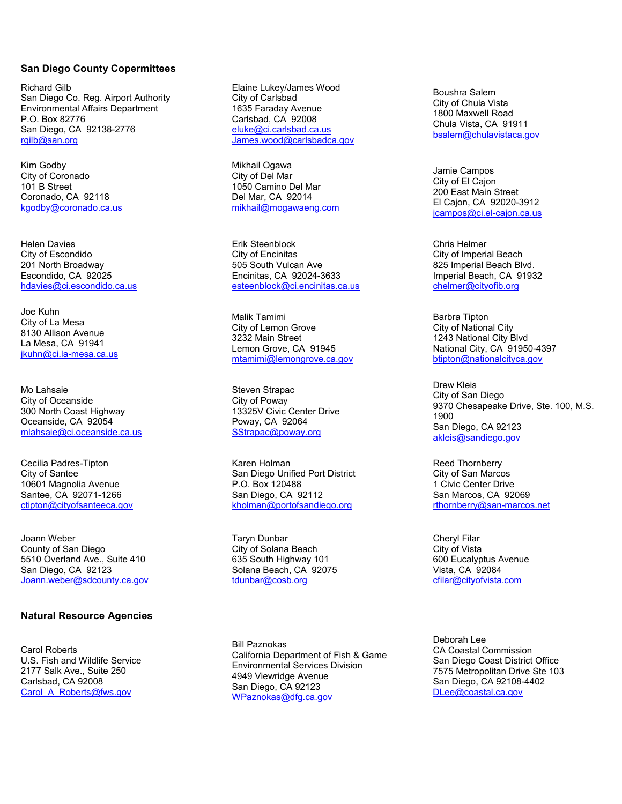### **San Diego County Copermittees**

Richard Gilb San Diego Co. Reg. Airport Authority Environmental Affairs Department P.O. Box 82776 San Diego, CA 92138-2776 [rgilb@san.org](mailto:rgilb@san.org)

Kim Godby City of Coronado 101 B Street Coronado, CA 92118 [kgodby@coronado.ca.us](mailto:kgodby@coronado.ca.us)

Helen Davies City of Escondido 201 North Broadway Escondido, CA 92025 [hdavies@ci.escondido.ca.us](mailto:hdavies@ci.escondido.ca.us)

Joe Kuhn City of La Mesa 8130 Allison Avenue La Mesa, CA 91941 [jkuhn@ci.la-mesa.ca.us](mailto:jkuhn@ci.la-mesa.ca.us)

Mo Lahsaie City of Oceanside 300 North Coast Highway Oceanside, CA 92054 [mlahsaie@ci.oceanside.ca.us](mailto:mlahsaie@ci.oceanside.ca.us)

Cecilia Padres-Tipton City of Santee 10601 Magnolia Avenue Santee, CA 92071-1266 [ctipton@cityofsanteeca.gov](mailto:ctipton@cityofsanteeca.gov)

Joann Weber County of San Diego 5510 Overland Ave., Suite 410 San Diego, CA 92123 [Joann.weber@sdcounty.ca.gov](mailto:Joann.weber@sdcounty.ca.gov)

## **Natural Resource Agencies**

Carol Roberts U.S. Fish and Wildlife Service 2177 Salk Ave., Suite 250 Carlsbad, CA 92008 Carol A\_Roberts@fws.gov

Elaine Lukey/James Wood City of Carlsbad 1635 Faraday Avenue Carlsbad, CA 92008 [eluke@ci.carlsbad.ca.us](mailto:eluke@ci.carlsbad.ca.us) [James.wood@carlsbadca.gov](mailto:James.wood@carlsbadca.gov)

Mikhail Ogawa City of Del Mar 1050 Camino Del Mar Del Mar, CA 92014 [mikhail@mogawaeng.com](mailto:mikhail@mogawaeng.com)

Erik Steenblock City of Encinitas 505 South Vulcan Ave Encinitas, CA 92024-3633 [esteenblock@ci.encinitas.ca.us](mailto:esteenblock@ci.encinitas.ca.us)

Malik Tamimi City of Lemon Grove 3232 Main Street Lemon Grove, CA 91945 [mtamimi@lemongrove.ca.gov](mailto:mtamimi@lemongrove.ca.gov)

Steven Strapac City of Poway 13325V Civic Center Drive Poway, CA 92064 [SStrapac@poway.org](mailto:SStrapac@poway.org)

Karen Holman San Diego Unified Port District P.O. Box 120488 San Diego, CA 92112 [kholman@portofsandiego.org](mailto:kholman@portofsandiego.org)

Taryn Dunbar City of Solana Beach 635 South Highway 101 Solana Beach, CA 92075 [tdunbar@cosb.org](mailto:tdunbar@cosb.org)

Bill Paznokas California Department of Fish & Game Environmental Services Division 4949 Viewridge Avenue San Diego, CA 92123 [WPaznokas@dfg.ca.gov](mailto:WPaznokas@dfg.ca.gov)

Boushra Salem City of Chula Vista 1800 Maxwell Road Chula Vista, CA 91911 [bsalem@chulavistaca.gov](mailto:bsalem@chulavistaca.gov)

Jamie Campos City of El Cajon 200 East Main Street El Cajon, CA 92020-3912 [jcampos@ci.el-cajon.ca.us](mailto:jcampos@ci.el-cajon.ca.us)

Chris Helmer City of Imperial Beach 825 Imperial Beach Blvd. Imperial Beach, CA 91932 [chelmer@cityofib.org](mailto:chelmer@cityofib.org)

Barbra Tipton City of National City 1243 National City Blvd National City, CA 91950-4397 [btipton@nationalcityca.gov](mailto:btipton@nationalcityca.gov)

Drew Kleis City of San Diego 9370 Chesapeake Drive, Ste. 100, M.S. 1900 San Diego, CA 92123 [akleis@sandiego.gov](mailto:akleis@sandiego.gov)

Reed Thornberry City of San Marcos 1 Civic Center Drive San Marcos, CA 92069 [rthornberry@san-marcos.net](mailto:rthornberry@san-marcos.net)

Cheryl Filar City of Vista 600 Eucalyptus Avenue Vista, CA 92084 [cfilar@cityofvista.com](mailto:cfilar@cityofvista.com)

Deborah Lee CA Coastal Commission San Diego Coast District Office 7575 Metropolitan Drive Ste 103 San Diego, CA 92108-4402 [DLee@coastal.ca.gov](mailto:DLee@coastal.ca.gov)